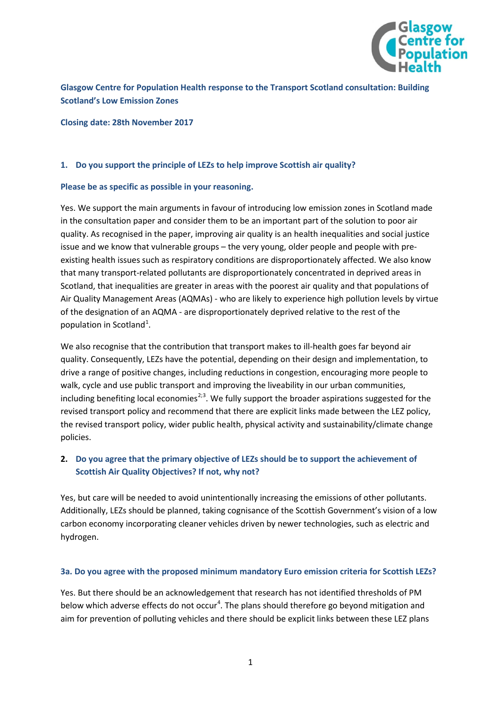

**Glasgow Centre for Population Health response to the Transport Scotland consultation: Building Scotland's Low Emission Zones**

**Closing date: 28th November 2017**

### **1. Do you support the principle of LEZs to help improve Scottish air quality?**

#### **Please be as specific as possible in your reasoning.**

Yes. We support the main arguments in favour of introducing low emission zones in Scotland made in the consultation paper and consider them to be an important part of the solution to poor air quality. As recognised in the paper, improving air quality is an health inequalities and social justice issue and we know that vulnerable groups – the very young, older people and people with preexisting health issues such as respiratory conditions are disproportionately affected. We also know that many transport-related pollutants are disproportionately concentrated in deprived areas in Scotland, that inequalities are greater in areas with the poorest air quality and that populations of Air Quality Management Areas (AQMAs) - who are likely to experience high pollution levels by virtue of the designation of an AQMA - are disproportionately deprived relative to the rest of the population in Scotland<sup>[1](#page-4-0)</sup>.

<span id="page-0-0"></span>We also recognise that the contribution that transport makes to ill-health goes far beyond air quality. Consequently, LEZs have the potential, depending on their design and implementation, to drive a range of positive changes, including reductions in congestion, encouraging more people to walk, cycle and use public transport and improving the liveability in our urban communities, including benefiting local economies<sup>[2;](#page-4-1)[3](#page-4-2)</sup>. We fully support the broader aspirations suggested for the revised transport policy and recommend that there are explicit links made between the LEZ policy, the revised transport policy, wider public health, physical activity and sustainability/climate change policies.

## **2. Do you agree that the primary objective of LEZs should be to support the achievement of Scottish Air Quality Objectives? If not, why not?**

Yes, but care will be needed to avoid unintentionally increasing the emissions of other pollutants. Additionally, LEZs should be planned, taking cognisance of the Scottish Government's vision of a low carbon economy incorporating cleaner vehicles driven by newer technologies, such as electric and hydrogen.

#### **3a. Do you agree with the proposed minimum mandatory Euro emission criteria for Scottish LEZs?**

Yes. But there should be an acknowledgement that research has not identified thresholds of PM below which adverse effects do not occur<sup>[4](#page-4-3)</sup>. The plans should therefore go beyond mitigation and aim for prevention of polluting vehicles and there should be explicit links between these LEZ plans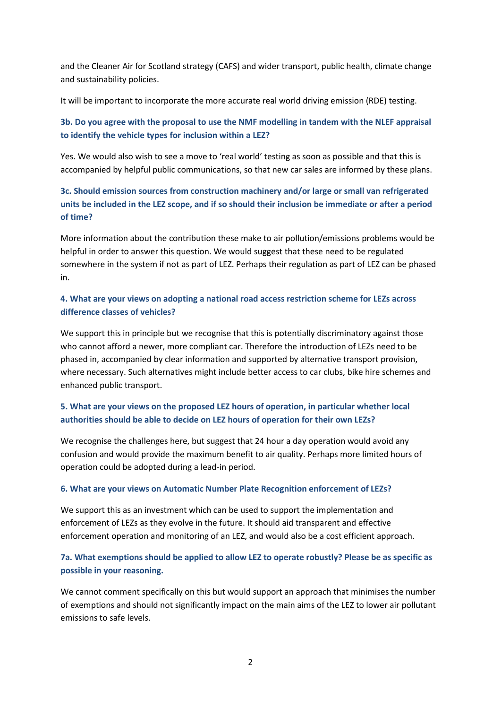and the Cleaner Air for Scotland strategy (CAFS) and wider transport, public health, climate change and sustainability policies.

It will be important to incorporate the more accurate real world driving emission (RDE) testing.

# **3b. Do you agree with the proposal to use the NMF modelling in tandem with the NLEF appraisal to identify the vehicle types for inclusion within a LEZ?**

Yes. We would also wish to see a move to 'real world' testing as soon as possible and that this is accompanied by helpful public communications, so that new car sales are informed by these plans.

# **3c. Should emission sources from construction machinery and/or large or small van refrigerated units be included in the LEZ scope, and if so should their inclusion be immediate or after a period of time?**

More information about the contribution these make to air pollution/emissions problems would be helpful in order to answer this question. We would suggest that these need to be regulated somewhere in the system if not as part of LEZ. Perhaps their regulation as part of LEZ can be phased in.

## **4. What are your views on adopting a national road access restriction scheme for LEZs across difference classes of vehicles?**

We support this in principle but we recognise that this is potentially discriminatory against those who cannot afford a newer, more compliant car. Therefore the introduction of LEZs need to be phased in, accompanied by clear information and supported by alternative transport provision, where necessary. Such alternatives might include better access to car clubs, bike hire schemes and enhanced public transport.

# **5. What are your views on the proposed LEZ hours of operation, in particular whether local authorities should be able to decide on LEZ hours of operation for their own LEZs?**

We recognise the challenges here, but suggest that 24 hour a day operation would avoid any confusion and would provide the maximum benefit to air quality. Perhaps more limited hours of operation could be adopted during a lead-in period.

### **6. What are your views on Automatic Number Plate Recognition enforcement of LEZs?**

We support this as an investment which can be used to support the implementation and enforcement of LEZs as they evolve in the future. It should aid transparent and effective enforcement operation and monitoring of an LEZ, and would also be a cost efficient approach.

## **7a. What exemptions should be applied to allow LEZ to operate robustly? Please be as specific as possible in your reasoning.**

We cannot comment specifically on this but would support an approach that minimises the number of exemptions and should not significantly impact on the main aims of the LEZ to lower air pollutant emissions to safe levels.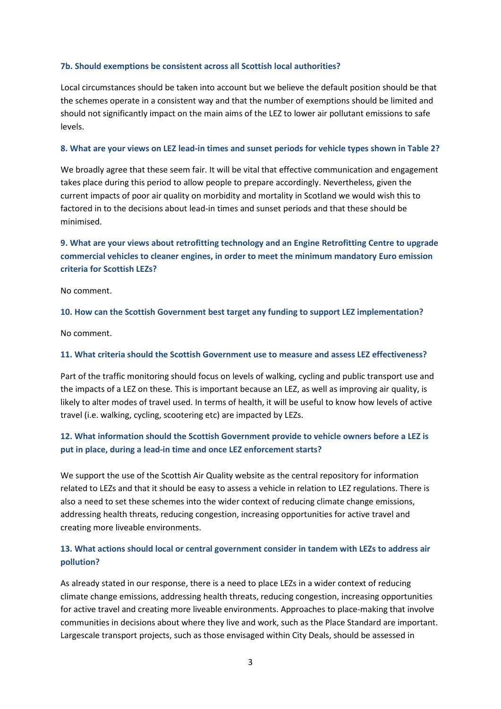### **7b. Should exemptions be consistent across all Scottish local authorities?**

Local circumstances should be taken into account but we believe the default position should be that the schemes operate in a consistent way and that the number of exemptions should be limited and should not significantly impact on the main aims of the LEZ to lower air pollutant emissions to safe levels.

### **8. What are your views on LEZ lead-in times and sunset periods for vehicle types shown in Table 2?**

We broadly agree that these seem fair. It will be vital that effective communication and engagement takes place during this period to allow people to prepare accordingly. Nevertheless, given the current impacts of poor air quality on morbidity and mortality in Scotland we would wish this to factored in to the decisions about lead-in times and sunset periods and that these should be minimised.

## **9. What are your views about retrofitting technology and an Engine Retrofitting Centre to upgrade commercial vehicles to cleaner engines, in order to meet the minimum mandatory Euro emission criteria for Scottish LEZs?**

No comment.

### **10. How can the Scottish Government best target any funding to support LEZ implementation?**

No comment.

### **11. What criteria should the Scottish Government use to measure and assess LEZ effectiveness?**

Part of the traffic monitoring should focus on levels of walking, cycling and public transport use and the impacts of a LEZ on these*.* This is important because an LEZ, as well as improving air quality, is likely to alter modes of travel used. In terms of health, it will be useful to know how levels of active travel (i.e. walking, cycling, scootering etc) are impacted by LEZs.

## **12. What information should the Scottish Government provide to vehicle owners before a LEZ is put in place, during a lead-in time and once LEZ enforcement starts?**

We support the use of the Scottish Air Quality website as the central repository for information related to LEZs and that it should be easy to assess a vehicle in relation to LEZ regulations. There is also a need to set these schemes into the wider context of reducing climate change emissions, addressing health threats, reducing congestion, increasing opportunities for active travel and creating more liveable environments.

## **13. What actions should local or central government consider in tandem with LEZs to address air pollution?**

As already stated in our response, there is a need to place LEZs in a wider context of reducing climate change emissions, addressing health threats, reducing congestion, increasing opportunities for active travel and creating more liveable environments. Approaches to place-making that involve communities in decisions about where they live and work, such as the Place Standard are important. Largescale transport projects, such as those envisaged within City Deals, should be assessed in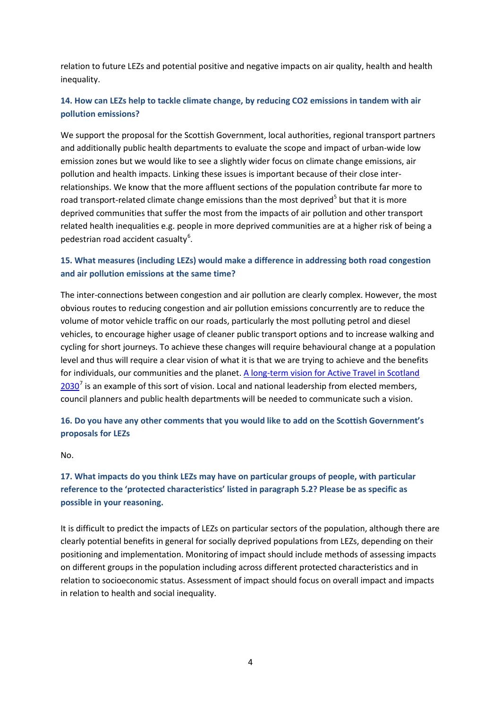relation to future LEZs and potential positive and negative impacts on air quality, health and health inequality.

## **14. How can LEZs help to tackle climate change, by reducing CO2 emissions in tandem with air pollution emissions?**

We support the proposal for the Scottish Government, local authorities, regional transport partners and additionally public health departments to evaluate the scope and impact of urban-wide low emission zones but we would like to see a slightly wider focus on climate change emissions, air pollution and health impacts. Linking these issues is important because of their close interrelationships. We know that the more affluent sections of the population contribute far more to road transport-related climate change emissions than the most deprived<sup>[5](#page-4-4)</sup> but that it is more deprived communities that suffer the most from the impacts of air pollutio[n](#page-0-0) and other transport related health inequalities e.g. people in more deprived communities are at a higher risk of being a pedestrian road accident casualty<sup>[6](#page-4-5)</sup>.

### **15. What measures (including LEZs) would make a difference in addressing both road congestion and air pollution emissions at the same time?**

The inter-connections between congestion and air pollution are clearly complex. However, the most obvious routes to reducing congestion and air pollution emissions concurrently are to reduce the volume of motor vehicle traffic on our roads, particularly the most polluting petrol and diesel vehicles, to encourage higher usage of cleaner public transport options and to increase walking and cycling for short journeys. To achieve these changes will require behavioural change at a population level and thus will require a clear vision of what it is that we are trying to achieve and the benefits for individuals, our communities and the planet. [A long-term vision for Active Travel in Scotland](https://www.transport.gov.scot/media/33649/long-term-vison-for-active-travel-in-scotland-2030.pdf)   $2030<sup>7</sup>$  $2030<sup>7</sup>$  $2030<sup>7</sup>$  $2030<sup>7</sup>$  is an example of this sort of vision. Local and national leadership from elected members, council planners and public health departments will be needed to communicate such a vision.

## **16. Do you have any other comments that you would like to add on the Scottish Government's proposals for LEZs**

## No.

# **17. What impacts do you think LEZs may have on particular groups of people, with particular reference to the 'protected characteristics' listed in paragraph 5.2? Please be as specific as possible in your reasoning.**

It is difficult to predict the impacts of LEZs on particular sectors of the population, although there are clearly potential benefits in general for socially deprived populations from LEZs, depending on their positioning and implementation. Monitoring of impact should include methods of assessing impacts on different groups in the population including across different protected characteristics and in relation to socioeconomic status. Assessment of impact should focus on overall impact and impacts in relation to health and social inequality.